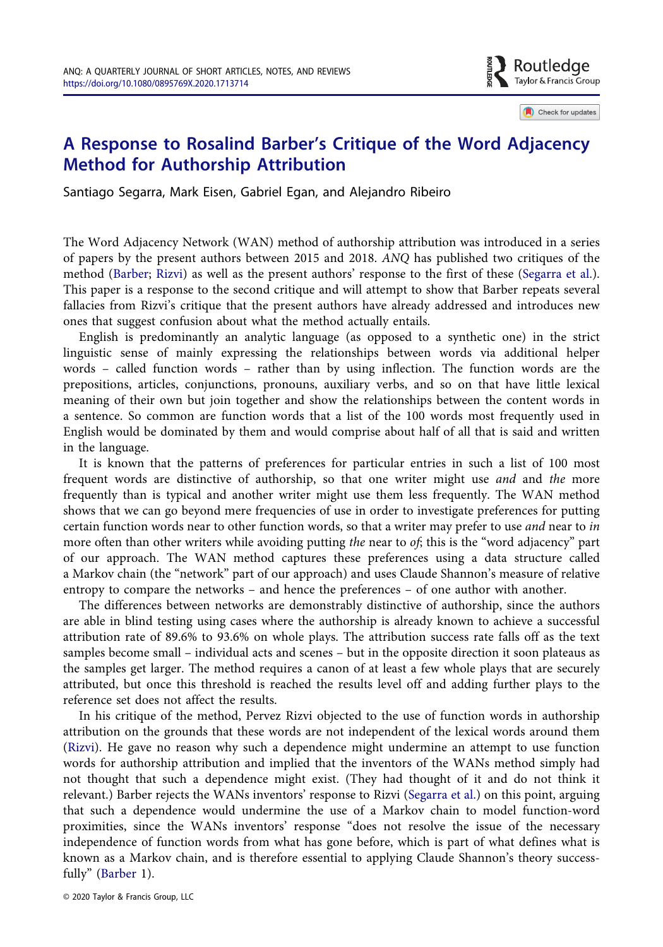

Check for updates

## A Response to Rosalind Barber's Critique of the Word Adjacency Method for Authorship Attribution

Santiago Segarra, Mark Eisen, Gabriel Egan, and Alejandro Ribeiro

The Word Adjacency Network (WAN) method of authorship attribution was introduced in a series of papers by the present authors between 2015 and 2018. ANQ has published two critiques of the method [\(Barber;](#page-5-0) [Rizvi](#page-5-1)) as well as the present authors' response to the first of these [\(Segarra et al.](#page-5-2)). This paper is a response to the second critique and will attempt to show that Barber repeats several fallacies from Rizvi's critique that the present authors have already addressed and introduces new ones that suggest confusion about what the method actually entails.

English is predominantly an analytic language (as opposed to a synthetic one) in the strict linguistic sense of mainly expressing the relationships between words via additional helper words – called function words – rather than by using inflection. The function words are the prepositions, articles, conjunctions, pronouns, auxiliary verbs, and so on that have little lexical meaning of their own but join together and show the relationships between the content words in a sentence. So common are function words that a list of the 100 words most frequently used in English would be dominated by them and would comprise about half of all that is said and written in the language.

It is known that the patterns of preferences for particular entries in such a list of 100 most frequent words are distinctive of authorship, so that one writer might use and and the more frequently than is typical and another writer might use them less frequently. The WAN method shows that we can go beyond mere frequencies of use in order to investigate preferences for putting certain function words near to other function words, so that a writer may prefer to use *and* near to in more often than other writers while avoiding putting the near to of; this is the "word adjacency" part of our approach. The WAN method captures these preferences using a data structure called a Markov chain (the "network" part of our approach) and uses Claude Shannon's measure of relative entropy to compare the networks – and hence the preferences – of one author with another.

The differences between networks are demonstrably distinctive of authorship, since the authors are able in blind testing using cases where the authorship is already known to achieve a successful attribution rate of 89.6% to 93.6% on whole plays. The attribution success rate falls off as the text samples become small – individual acts and scenes – but in the opposite direction it soon plateaus as the samples get larger. The method requires a canon of at least a few whole plays that are securely attributed, but once this threshold is reached the results level off and adding further plays to the reference set does not affect the results.

<span id="page-0-2"></span><span id="page-0-1"></span><span id="page-0-0"></span>In his critique of the method, Pervez Rizvi objected to the use of function words in authorship attribution on the grounds that these words are not independent of the lexical words around them [\(Rizvi\)](#page-5-1). He gave no reason why such a dependence might undermine an attempt to use function words for authorship attribution and implied that the inventors of the WANs method simply had not thought that such a dependence might exist. (They had thought of it and do not think it relevant.) Barber rejects the WANs inventors' response to Rizvi [\(Segarra et al.\)](#page-5-2) on this point, arguing that such a dependence would undermine the use of a Markov chain to model function-word proximities, since the WANs inventors' response "does not resolve the issue of the necessary independence of function words from what has gone before, which is part of what defines what is known as a Markov chain, and is therefore essential to applying Claude Shannon's theory successfully" ([Barber](#page-5-0) 1).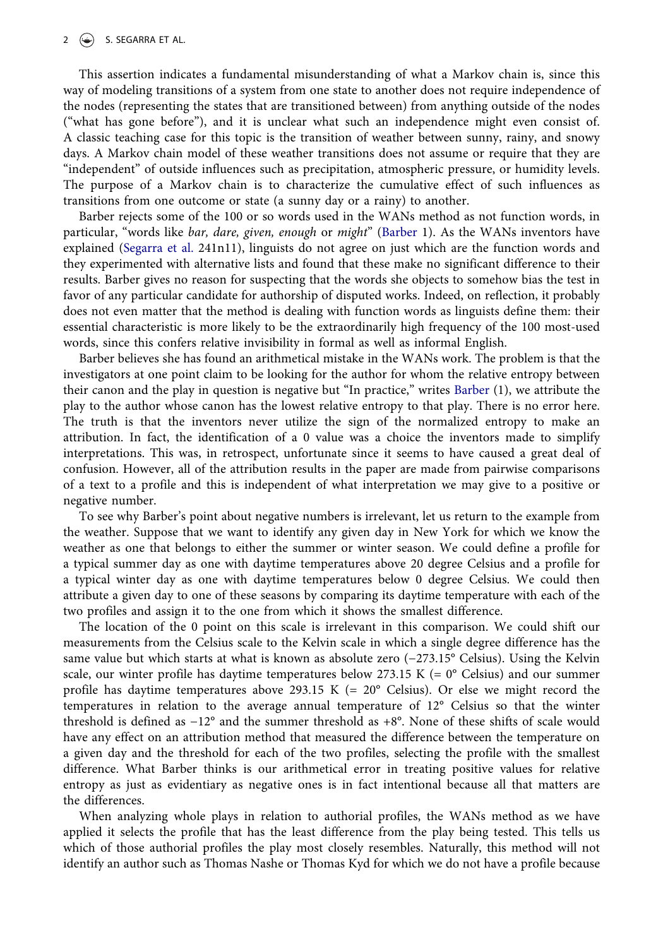## 2  $\left(\frac{1}{2}\right)$  S. SEGARRA ET AL.

This assertion indicates a fundamental misunderstanding of what a Markov chain is, since this way of modeling transitions of a system from one state to another does not require independence of the nodes (representing the states that are transitioned between) from anything outside of the nodes ("what has gone before"), and it is unclear what such an independence might even consist of. A classic teaching case for this topic is the transition of weather between sunny, rainy, and snowy days. A Markov chain model of these weather transitions does not assume or require that they are "independent" of outside influences such as precipitation, atmospheric pressure, or humidity levels. The purpose of a Markov chain is to characterize the cumulative effect of such influences as transitions from one outcome or state (a sunny day or a rainy) to another.

<span id="page-1-0"></span>Barber rejects some of the 100 or so words used in the WANs method as not function words, in particular, "words like bar, dare, given, enough or might" [\(Barber](#page-5-0) 1). As the WANs inventors have explained ([Segarra et al.](#page-5-3) 241n11), linguists do not agree on just which are the function words and they experimented with alternative lists and found that these make no significant difference to their results. Barber gives no reason for suspecting that the words she objects to somehow bias the test in favor of any particular candidate for authorship of disputed works. Indeed, on reflection, it probably does not even matter that the method is dealing with function words as linguists define them: their essential characteristic is more likely to be the extraordinarily high frequency of the 100 most-used words, since this confers relative invisibility in formal as well as informal English.

Barber believes she has found an arithmetical mistake in the WANs work. The problem is that the investigators at one point claim to be looking for the author for whom the relative entropy between their canon and the play in question is negative but "In practice," writes [Barber](#page-5-0) (1), we attribute the play to the author whose canon has the lowest relative entropy to that play. There is no error here. The truth is that the inventors never utilize the sign of the normalized entropy to make an attribution. In fact, the identification of a 0 value was a choice the inventors made to simplify interpretations. This was, in retrospect, unfortunate since it seems to have caused a great deal of confusion. However, all of the attribution results in the paper are made from pairwise comparisons of a text to a profile and this is independent of what interpretation we may give to a positive or negative number.

To see why Barber's point about negative numbers is irrelevant, let us return to the example from the weather. Suppose that we want to identify any given day in New York for which we know the weather as one that belongs to either the summer or winter season. We could define a profile for a typical summer day as one with daytime temperatures above 20 degree Celsius and a profile for a typical winter day as one with daytime temperatures below 0 degree Celsius. We could then attribute a given day to one of these seasons by comparing its daytime temperature with each of the two profiles and assign it to the one from which it shows the smallest difference.

The location of the 0 point on this scale is irrelevant in this comparison. We could shift our measurements from the Celsius scale to the Kelvin scale in which a single degree difference has the same value but which starts at what is known as absolute zero (−273.15° Celsius). Using the Kelvin scale, our winter profile has daytime temperatures below 273.15 K (=  $0^{\circ}$  Celsius) and our summer profile has daytime temperatures above 293.15 K (=  $20^{\circ}$  Celsius). Or else we might record the temperatures in relation to the average annual temperature of 12° Celsius so that the winter threshold is defined as −12° and the summer threshold as +8°. None of these shifts of scale would have any effect on an attribution method that measured the difference between the temperature on a given day and the threshold for each of the two profiles, selecting the profile with the smallest difference. What Barber thinks is our arithmetical error in treating positive values for relative entropy as just as evidentiary as negative ones is in fact intentional because all that matters are the differences.

When analyzing whole plays in relation to authorial profiles, the WANs method as we have applied it selects the profile that has the least difference from the play being tested. This tells us which of those authorial profiles the play most closely resembles. Naturally, this method will not identify an author such as Thomas Nashe or Thomas Kyd for which we do not have a profile because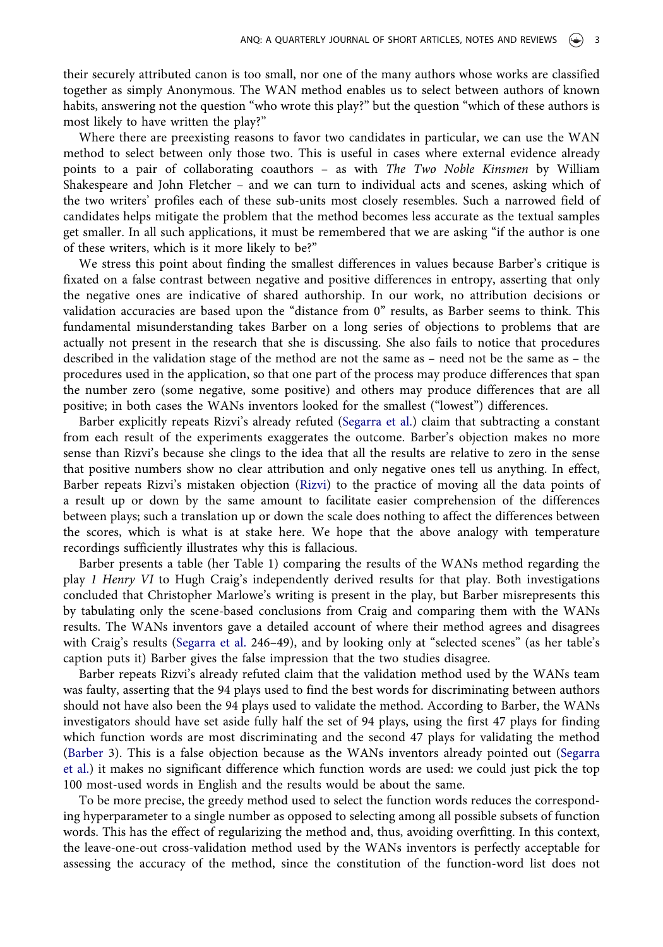their securely attributed canon is too small, nor one of the many authors whose works are classified together as simply Anonymous. The WAN method enables us to select between authors of known habits, answering not the question "who wrote this play?" but the question "which of these authors is most likely to have written the play?"

Where there are preexisting reasons to favor two candidates in particular, we can use the WAN method to select between only those two. This is useful in cases where external evidence already points to a pair of collaborating coauthors – as with The Two Noble Kinsmen by William Shakespeare and John Fletcher – and we can turn to individual acts and scenes, asking which of the two writers' profiles each of these sub-units most closely resembles. Such a narrowed field of candidates helps mitigate the problem that the method becomes less accurate as the textual samples get smaller. In all such applications, it must be remembered that we are asking "if the author is one of these writers, which is it more likely to be?"

We stress this point about finding the smallest differences in values because Barber's critique is fixated on a false contrast between negative and positive differences in entropy, asserting that only the negative ones are indicative of shared authorship. In our work, no attribution decisions or validation accuracies are based upon the "distance from 0" results, as Barber seems to think. This fundamental misunderstanding takes Barber on a long series of objections to problems that are actually not present in the research that she is discussing. She also fails to notice that procedures described in the validation stage of the method are not the same as – need not be the same as – the procedures used in the application, so that one part of the process may produce differences that span the number zero (some negative, some positive) and others may produce differences that are all positive; in both cases the WANs inventors looked for the smallest ("lowest") differences.

Barber explicitly repeats Rizvi's already refuted [\(Segarra et al.](#page-5-2)) claim that subtracting a constant from each result of the experiments exaggerates the outcome. Barber's objection makes no more sense than Rizvi's because she clings to the idea that all the results are relative to zero in the sense that positive numbers show no clear attribution and only negative ones tell us anything. In effect, Barber repeats Rizvi's mistaken objection ([Rizvi](#page-5-1)) to the practice of moving all the data points of a result up or down by the same amount to facilitate easier comprehension of the differences between plays; such a translation up or down the scale does nothing to affect the differences between the scores, which is what is at stake here. We hope that the above analogy with temperature recordings sufficiently illustrates why this is fallacious.

Barber presents a table (her Table 1) comparing the results of the WANs method regarding the play 1 Henry VI to Hugh Craig's independently derived results for that play. Both investigations concluded that Christopher Marlowe's writing is present in the play, but Barber misrepresents this by tabulating only the scene-based conclusions from Craig and comparing them with the WANs results. The WANs inventors gave a detailed account of where their method agrees and disagrees with Craig's results [\(Segarra et al.](#page-5-3) 246–49), and by looking only at "selected scenes" (as her table's caption puts it) Barber gives the false impression that the two studies disagree.

Barber repeats Rizvi's already refuted claim that the validation method used by the WANs team was faulty, asserting that the 94 plays used to find the best words for discriminating between authors should not have also been the 94 plays used to validate the method. According to Barber, the WANs investigators should have set aside fully half the set of 94 plays, using the first 47 plays for finding which function words are most discriminating and the second 47 plays for validating the method [\(Barber](#page-5-0) 3). This is a false objection because as the WANs inventors already pointed out [\(Segarra](#page-5-2) [et al.\)](#page-5-2) it makes no significant difference which function words are used: we could just pick the top 100 most-used words in English and the results would be about the same.

To be more precise, the greedy method used to select the function words reduces the corresponding hyperparameter to a single number as opposed to selecting among all possible subsets of function words. This has the effect of regularizing the method and, thus, avoiding overfitting. In this context, the leave-one-out cross-validation method used by the WANs inventors is perfectly acceptable for assessing the accuracy of the method, since the constitution of the function-word list does not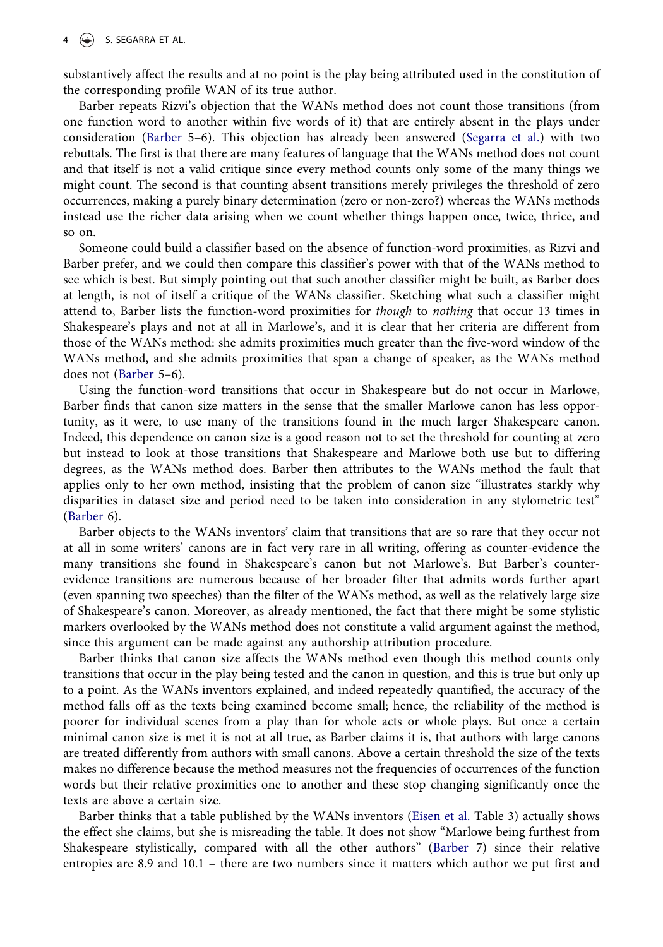substantively affect the results and at no point is the play being attributed used in the constitution of the corresponding profile WAN of its true author.

Barber repeats Rizvi's objection that the WANs method does not count those transitions (from one function word to another within five words of it) that are entirely absent in the plays under consideration [\(Barber](#page-5-0) 5–6). This objection has already been answered ([Segarra et al.](#page-5-2)) with two rebuttals. The first is that there are many features of language that the WANs method does not count and that itself is not a valid critique since every method counts only some of the many things we might count. The second is that counting absent transitions merely privileges the threshold of zero occurrences, making a purely binary determination (zero or non-zero?) whereas the WANs methods instead use the richer data arising when we count whether things happen once, twice, thrice, and so on.

Someone could build a classifier based on the absence of function-word proximities, as Rizvi and Barber prefer, and we could then compare this classifier's power with that of the WANs method to see which is best. But simply pointing out that such another classifier might be built, as Barber does at length, is not of itself a critique of the WANs classifier. Sketching what such a classifier might attend to, Barber lists the function-word proximities for though to nothing that occur 13 times in Shakespeare's plays and not at all in Marlowe's, and it is clear that her criteria are different from those of the WANs method: she admits proximities much greater than the five-word window of the WANs method, and she admits proximities that span a change of speaker, as the WANs method does not ([Barber](#page-5-0) 5–6).

Using the function-word transitions that occur in Shakespeare but do not occur in Marlowe, Barber finds that canon size matters in the sense that the smaller Marlowe canon has less opportunity, as it were, to use many of the transitions found in the much larger Shakespeare canon. Indeed, this dependence on canon size is a good reason not to set the threshold for counting at zero but instead to look at those transitions that Shakespeare and Marlowe both use but to differing degrees, as the WANs method does. Barber then attributes to the WANs method the fault that applies only to her own method, insisting that the problem of canon size "illustrates starkly why disparities in dataset size and period need to be taken into consideration in any stylometric test" [\(Barber](#page-5-0) 6).

Barber objects to the WANs inventors' claim that transitions that are so rare that they occur not at all in some writers' canons are in fact very rare in all writing, offering as counter-evidence the many transitions she found in Shakespeare's canon but not Marlowe's. But Barber's counterevidence transitions are numerous because of her broader filter that admits words further apart (even spanning two speeches) than the filter of the WANs method, as well as the relatively large size of Shakespeare's canon. Moreover, as already mentioned, the fact that there might be some stylistic markers overlooked by the WANs method does not constitute a valid argument against the method, since this argument can be made against any authorship attribution procedure.

Barber thinks that canon size affects the WANs method even though this method counts only transitions that occur in the play being tested and the canon in question, and this is true but only up to a point. As the WANs inventors explained, and indeed repeatedly quantified, the accuracy of the method falls off as the texts being examined become small; hence, the reliability of the method is poorer for individual scenes from a play than for whole acts or whole plays. But once a certain minimal canon size is met it is not at all true, as Barber claims it is, that authors with large canons are treated differently from authors with small canons. Above a certain threshold the size of the texts makes no difference because the method measures not the frequencies of occurrences of the function words but their relative proximities one to another and these stop changing significantly once the texts are above a certain size.

<span id="page-3-0"></span>Barber thinks that a table published by the WANs inventors [\(Eisen et al.](#page-5-4) Table 3) actually shows the effect she claims, but she is misreading the table. It does not show "Marlowe being furthest from Shakespeare stylistically, compared with all the other authors" [\(Barber](#page-5-0) 7) since their relative entropies are 8.9 and 10.1 – there are two numbers since it matters which author we put first and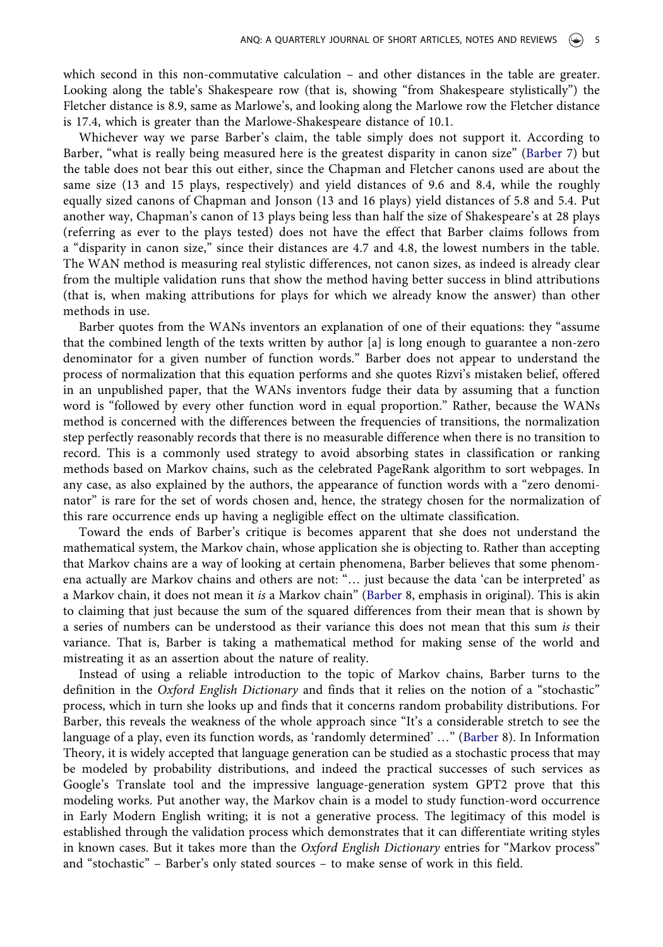which second in this non-commutative calculation – and other distances in the table are greater. Looking along the table's Shakespeare row (that is, showing "from Shakespeare stylistically") the Fletcher distance is 8.9, same as Marlowe's, and looking along the Marlowe row the Fletcher distance is 17.4, which is greater than the Marlowe-Shakespeare distance of 10.1.

Whichever way we parse Barber's claim, the table simply does not support it. According to Barber, "what is really being measured here is the greatest disparity in canon size" ([Barber](#page-5-0) 7) but the table does not bear this out either, since the Chapman and Fletcher canons used are about the same size (13 and 15 plays, respectively) and yield distances of 9.6 and 8.4, while the roughly equally sized canons of Chapman and Jonson (13 and 16 plays) yield distances of 5.8 and 5.4. Put another way, Chapman's canon of 13 plays being less than half the size of Shakespeare's at 28 plays (referring as ever to the plays tested) does not have the effect that Barber claims follows from a "disparity in canon size," since their distances are 4.7 and 4.8, the lowest numbers in the table. The WAN method is measuring real stylistic differences, not canon sizes, as indeed is already clear from the multiple validation runs that show the method having better success in blind attributions (that is, when making attributions for plays for which we already know the answer) than other methods in use.

Barber quotes from the WANs inventors an explanation of one of their equations: they "assume that the combined length of the texts written by author [a] is long enough to guarantee a non-zero denominator for a given number of function words." Barber does not appear to understand the process of normalization that this equation performs and she quotes Rizvi's mistaken belief, offered in an unpublished paper, that the WANs inventors fudge their data by assuming that a function word is "followed by every other function word in equal proportion." Rather, because the WANs method is concerned with the differences between the frequencies of transitions, the normalization step perfectly reasonably records that there is no measurable difference when there is no transition to record. This is a commonly used strategy to avoid absorbing states in classification or ranking methods based on Markov chains, such as the celebrated PageRank algorithm to sort webpages. In any case, as also explained by the authors, the appearance of function words with a "zero denominator" is rare for the set of words chosen and, hence, the strategy chosen for the normalization of this rare occurrence ends up having a negligible effect on the ultimate classification.

Toward the ends of Barber's critique is becomes apparent that she does not understand the mathematical system, the Markov chain, whose application she is objecting to. Rather than accepting that Markov chains are a way of looking at certain phenomena, Barber believes that some phenomena actually are Markov chains and others are not: "… just because the data 'can be interpreted' as a Markov chain, it does not mean it is a Markov chain" ([Barber](#page-5-0) 8, emphasis in original). This is akin to claiming that just because the sum of the squared differences from their mean that is shown by a series of numbers can be understood as their variance this does not mean that this sum is their variance. That is, Barber is taking a mathematical method for making sense of the world and mistreating it as an assertion about the nature of reality.

Instead of using a reliable introduction to the topic of Markov chains, Barber turns to the definition in the Oxford English Dictionary and finds that it relies on the notion of a "stochastic" process, which in turn she looks up and finds that it concerns random probability distributions. For Barber, this reveals the weakness of the whole approach since "It's a considerable stretch to see the language of a play, even its function words, as 'randomly determined' …" ([Barber](#page-5-0) 8). In Information Theory, it is widely accepted that language generation can be studied as a stochastic process that may be modeled by probability distributions, and indeed the practical successes of such services as Google's Translate tool and the impressive language-generation system GPT2 prove that this modeling works. Put another way, the Markov chain is a model to study function-word occurrence in Early Modern English writing; it is not a generative process. The legitimacy of this model is established through the validation process which demonstrates that it can differentiate writing styles in known cases. But it takes more than the Oxford English Dictionary entries for "Markov process" and "stochastic" – Barber's only stated sources – to make sense of work in this field.